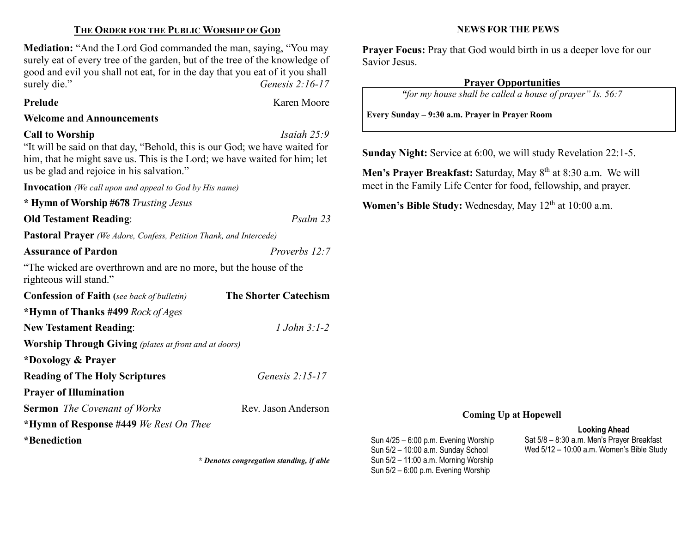# THE ORDER FOR THE PUBLIC WORSHIP OF GOD

Mediation: "And the Lord God commanded the man, saying, "You may surely eat of every tree of the garden, but of the tree of the knowledge of good and evil you shall not eat, for in the day that you eat of it you shall surely die." Genesis 2:16-17

#### Prelude **Karen Moore**

#### Welcome and Announcements

#### Call to Worship Isaiah 25:9

"It will be said on that day, "Behold, this is our God; we have waited for him, that he might save us. This is the Lord; we have waited for him; let us be glad and rejoice in his salvation."

Invocation (We call upon and appeal to God by His name)

\* Hymn of Worship #678 Trusting Jesus

Old Testament Reading: Psalm 23

Pastoral Prayer (We Adore, Confess, Petition Thank, and Intercede)

Assurance of Pardon **Proverbs 12:7** 

"The wicked are overthrown and are no more, but the house of the righteous will stand."

| <b>Confession of Faith</b> (see back of bulletin)            | <b>The Shorter Catechism</b> |  |
|--------------------------------------------------------------|------------------------------|--|
| *Hymn of Thanks #499 Rock of Ages                            |                              |  |
| <b>New Testament Reading:</b>                                | $1$ John $3:1-2$             |  |
| <b>Worship Through Giving</b> (plates at front and at doors) |                              |  |
| *Doxology & Prayer                                           |                              |  |
| <b>Reading of The Holy Scriptures</b>                        | Genesis $2:15-17$            |  |
| <b>Prayer of Illumination</b>                                |                              |  |
| <b>Sermon</b> The Covenant of Works                          | Rev. Jason Anderson          |  |
| *Hymn of Response #449 We Rest On Thee                       |                              |  |
| *Renediction                                                 |                              |  |

\* Denotes congregation standing, if able

### NEWS FOR THE PEWS

Prayer Focus: Pray that God would birth in us a deeper love for our Savior Jesus.

## Prayer Opportunities

"for my house shall be called a house of prayer" Is. 56:7

Every Sunday – 9:30 a.m. Prayer in Prayer Room

Sunday Night: Service at 6:00, we will study Revelation 22:1-5.

Men's Prayer Breakfast: Saturday, May 8<sup>th</sup> at 8:30 a.m. We will meet in the Family Life Center for food, fellowship, and prayer.

Women's Bible Study: Wednesday, May 12<sup>th</sup> at 10:00 a.m.

## Coming Up at Hopewell

Sun 4/25 – 6:00 p.m. Evening Worship Sun 5/2 – 10:00 a.m. Sunday School Sun 5/2 – 11:00 a.m. Morning Worship Sun 5/2 – 6:00 p.m. Evening Worship

#### Looking Ahead

Sat 5/8 – 8:30 a.m. Men's Prayer Breakfast Wed 5/12 – 10:00 a.m. Women's Bible Study